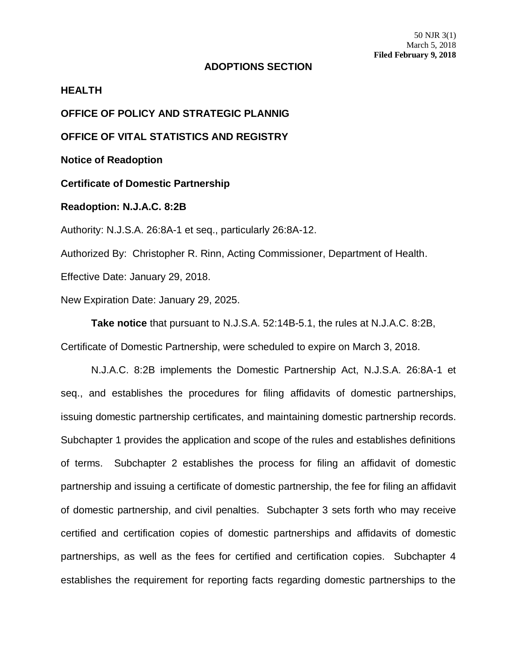## **ADOPTIONS SECTION**

## **HEALTH**

**OFFICE OF POLICY AND STRATEGIC PLANNIG**

**OFFICE OF VITAL STATISTICS AND REGISTRY**

**Notice of Readoption**

**Certificate of Domestic Partnership**

## **Readoption: N.J.A.C. 8:2B**

Authority: N.J.S.A. 26:8A-1 et seq., particularly 26:8A-12.

Authorized By: Christopher R. Rinn, Acting Commissioner, Department of Health.

Effective Date: January 29, 2018.

New Expiration Date: January 29, 2025.

**Take notice** that pursuant to N.J.S.A. 52:14B-5.1, the rules at N.J.A.C. 8:2B,

Certificate of Domestic Partnership, were scheduled to expire on March 3, 2018.

N.J.A.C. 8:2B implements the Domestic Partnership Act, N.J.S.A. 26:8A-1 et seq., and establishes the procedures for filing affidavits of domestic partnerships, issuing domestic partnership certificates, and maintaining domestic partnership records. Subchapter 1 provides the application and scope of the rules and establishes definitions of terms. Subchapter 2 establishes the process for filing an affidavit of domestic partnership and issuing a certificate of domestic partnership, the fee for filing an affidavit of domestic partnership, and civil penalties. Subchapter 3 sets forth who may receive certified and certification copies of domestic partnerships and affidavits of domestic partnerships, as well as the fees for certified and certification copies. Subchapter 4 establishes the requirement for reporting facts regarding domestic partnerships to the